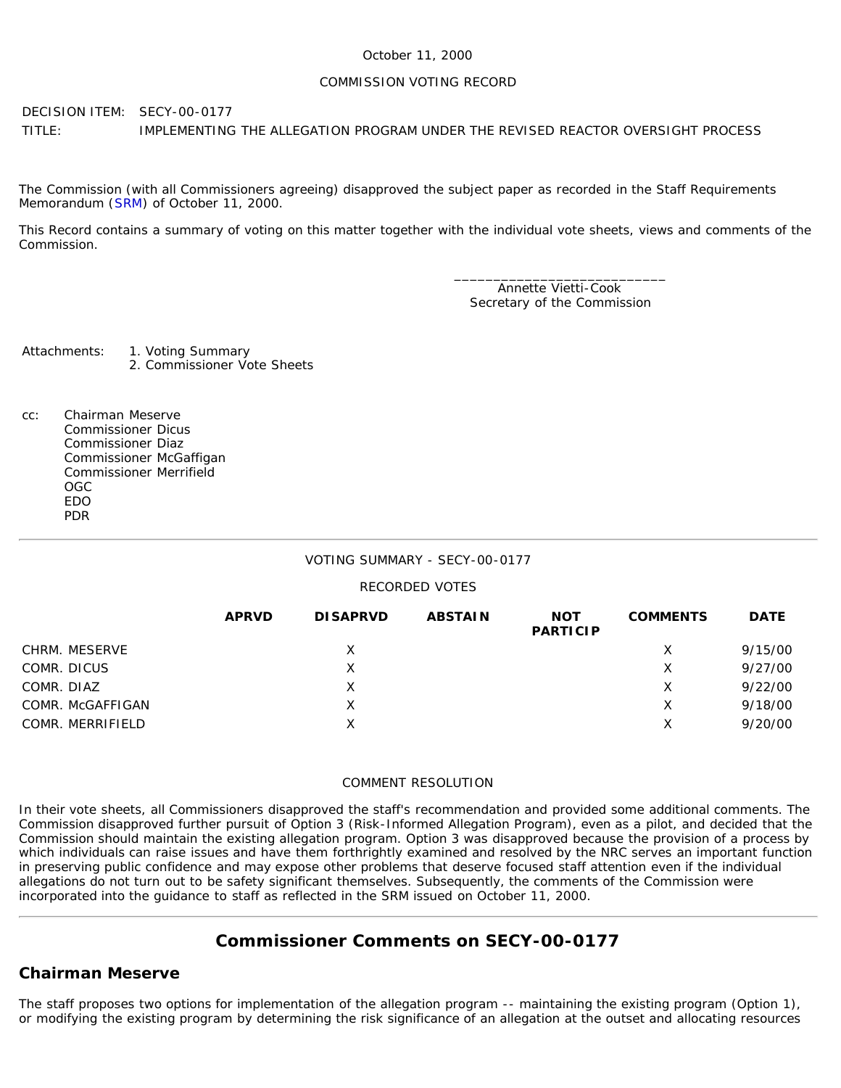#### October 11, 2000

#### COMMISSION VOTING RECORD

DECISION ITEM: SECY-00-0177 TITLE: IMPLEMENTING THE ALLEGATION PROGRAM UNDER THE REVISED REACTOR OVERSIGHT PROCESS

The Commission (with all Commissioners agreeing) disapproved the subject paper as recorded in the Staff Requirements Memorandum ([SRM\)](http://www.nrc.gov/reading-rm/doc-collections/commission/srm/2000/2000-0177srm.html) of October 11, 2000.

This Record contains a summary of voting on this matter together with the individual vote sheets, views and comments of the Commission.

> \_\_\_\_\_\_\_\_\_\_\_\_\_\_\_\_\_\_\_\_\_\_\_\_\_\_\_ Annette Vietti-Cook Secretary of the Commission

Attachments: 1. Voting Summary 2. Commissioner Vote Sheets

cc: Chairman Meserve Commissioner Dicus Commissioner Diaz Commissioner McGaffigan Commissioner Merrifield OGC EDO PDR

### VOTING SUMMARY - SECY-00-0177

#### RECORDED VOTES

|                  | <b>APRVD</b> | <b>DISAPRVD</b> | <b>ABSTAIN</b> | <b>NOT</b><br><b>PARTICIP</b> | <b>COMMENTS</b> | <b>DATE</b> |
|------------------|--------------|-----------------|----------------|-------------------------------|-----------------|-------------|
| CHRM. MESERVE    |              | X               |                |                               | Х               | 9/15/00     |
| COMR. DICUS      |              | Х               |                |                               | Х               | 9/27/00     |
| COMR. DIAZ       |              | X               |                |                               | х               | 9/22/00     |
| COMR. McGAFFIGAN |              | X               |                |                               | Х               | 9/18/00     |
| COMR. MERRIFIELD |              | Х               |                |                               | х               | 9/20/00     |

#### COMMENT RESOLUTION

In their vote sheets, all Commissioners disapproved the staff's recommendation and provided some additional comments. The Commission disapproved further pursuit of Option 3 (Risk-Informed Allegation Program), even as a pilot, and decided that the Commission should maintain the existing allegation program. Option 3 was disapproved because the provision of a process by which individuals can raise issues and have them forthrightly examined and resolved by the NRC serves an important function in preserving public confidence and may expose other problems that deserve focused staff attention even if the individual allegations do not turn out to be safety significant themselves. Subsequently, the comments of the Commission were incorporated into the guidance to staff as reflected in the SRM issued on October 11, 2000.

# **Commissioner Comments on [SECY-00-0177](http://www.nrc.gov/reading-rm/doc-collections/commission/secys/2000/secy2000-0177/2000-0177scy.html)**

## **Chairman Meserve**

The staff proposes two options for implementation of the allegation program -- maintaining the existing program (Option 1), or modifying the existing program by determining the risk significance of an allegation at the outset and allocating resources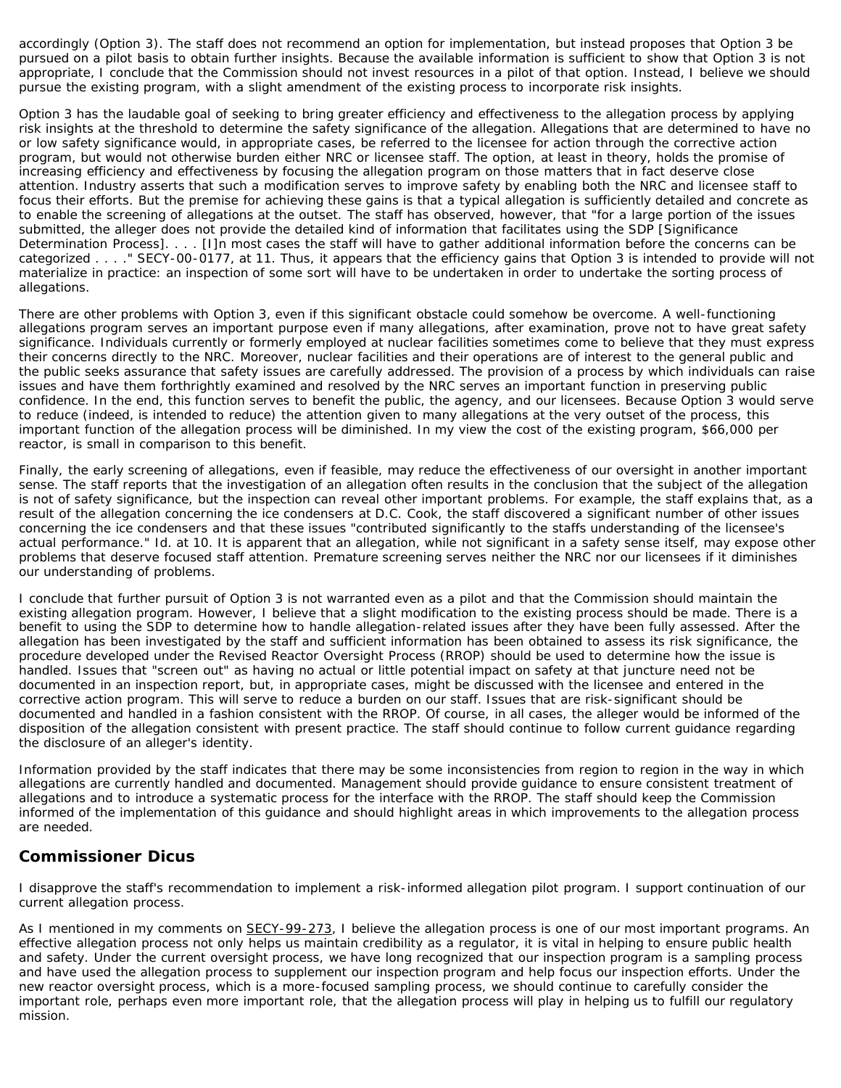accordingly (Option 3). The staff does not recommend an option for implementation, but instead proposes that Option 3 be pursued on a pilot basis to obtain further insights. Because the available information is sufficient to show that Option 3 is not appropriate, I conclude that the Commission should not invest resources in a pilot of that option. Instead, I believe we should pursue the existing program, with a slight amendment of the existing process to incorporate risk insights.

Option 3 has the laudable goal of seeking to bring greater efficiency and effectiveness to the allegation process by applying risk insights at the threshold to determine the safety significance of the allegation. Allegations that are determined to have no or low safety significance would, in appropriate cases, be referred to the licensee for action through the corrective action program, but would not otherwise burden either NRC or licensee staff. The option, at least in theory, holds the promise of increasing efficiency and effectiveness by focusing the allegation program on those matters that in fact deserve close attention. Industry asserts that such a modification serves to improve safety by enabling both the NRC and licensee staff to focus their efforts. But the premise for achieving these gains is that a typical allegation is sufficiently detailed and concrete as to enable the screening of allegations at the outset. The staff has observed, however, that "for a large portion of the issues submitted, the alleger does not provide the detailed kind of information that facilitates using the SDP [Significance Determination Process]. . . . [I]n most cases the staff will have to gather additional information before the concerns can be categorized . . . ." SECY-00-0177, at 11. Thus, it appears that the efficiency gains that Option 3 is intended to provide will not materialize in practice: an inspection of some sort will have to be undertaken in order to undertake the sorting process of allegations.

There are other problems with Option 3, even if this significant obstacle could somehow be overcome. A well-functioning allegations program serves an important purpose even if many allegations, after examination, prove not to have great safety significance. Individuals currently or formerly employed at nuclear facilities sometimes come to believe that they must express their concerns directly to the NRC. Moreover, nuclear facilities and their operations are of interest to the general public and the public seeks assurance that safety issues are carefully addressed. The provision of a process by which individuals can raise issues and have them forthrightly examined and resolved by the NRC serves an important function in preserving public confidence. In the end, this function serves to benefit the public, the agency, and our licensees. Because Option 3 would serve to reduce (indeed, is intended to reduce) the attention given to many allegations at the very outset of the process, this important function of the allegation process will be diminished. In my view the cost of the existing program, \$66,000 per reactor, is small in comparison to this benefit.

Finally, the early screening of allegations, even if feasible, may reduce the effectiveness of our oversight in another important sense. The staff reports that the investigation of an allegation often results in the conclusion that the subject of the allegation is not of safety significance, but the inspection can reveal other important problems. For example, the staff explains that, as a result of the allegation concerning the ice condensers at D.C. Cook, the staff discovered a significant number of other issues concerning the ice condensers and that these issues "contributed significantly to the staffs understanding of the licensee's actual performance." Id. at 10. It is apparent that an allegation, while not significant in a safety sense itself, may expose other problems that deserve focused staff attention. Premature screening serves neither the NRC nor our licensees if it diminishes our understanding of problems.

I conclude that further pursuit of Option 3 is not warranted even as a pilot and that the Commission should maintain the existing allegation program. However, I believe that a slight modification to the existing process should be made. There is a benefit to using the SDP to determine how to handle allegation-related issues after they have been fully assessed. After the allegation has been investigated by the staff and sufficient information has been obtained to assess its risk significance, the procedure developed under the Revised Reactor Oversight Process (RROP) should be used to determine how the issue is handled. Issues that "screen out" as having no actual or little potential impact on safety at that juncture need not be documented in an inspection report, but, in appropriate cases, might be discussed with the licensee and entered in the corrective action program. This will serve to reduce a burden on our staff. Issues that are risk-significant should be documented and handled in a fashion consistent with the RROP. Of course, in all cases, the alleger would be informed of the disposition of the allegation consistent with present practice. The staff should continue to follow current guidance regarding the disclosure of an alleger's identity.

Information provided by the staff indicates that there may be some inconsistencies from region to region in the way in which allegations are currently handled and documented. Management should provide guidance to ensure consistent treatment of allegations and to introduce a systematic process for the interface with the RROP. The staff should keep the Commission informed of the implementation of this guidance and should highlight areas in which improvements to the allegation process are needed.

## **Commissioner Dicus**

I disapprove the staff's recommendation to implement a risk-informed allegation pilot program. I support continuation of our current allegation process.

As I mentioned in my comments on SECY-99-273, I believe the allegation process is one of our most important programs. An effective allegation process not only helps us maintain credibility as a regulator, it is vital in helping to ensure public health and safety. Under the current oversight process, we have long recognized that our inspection program is a sampling process and have used the allegation process to supplement our inspection program and help focus our inspection efforts. Under the new reactor oversight process, which is a more-focused sampling process, we should continue to carefully consider the important role, perhaps even more important role, that the allegation process will play in helping us to fulfill our regulatory mission.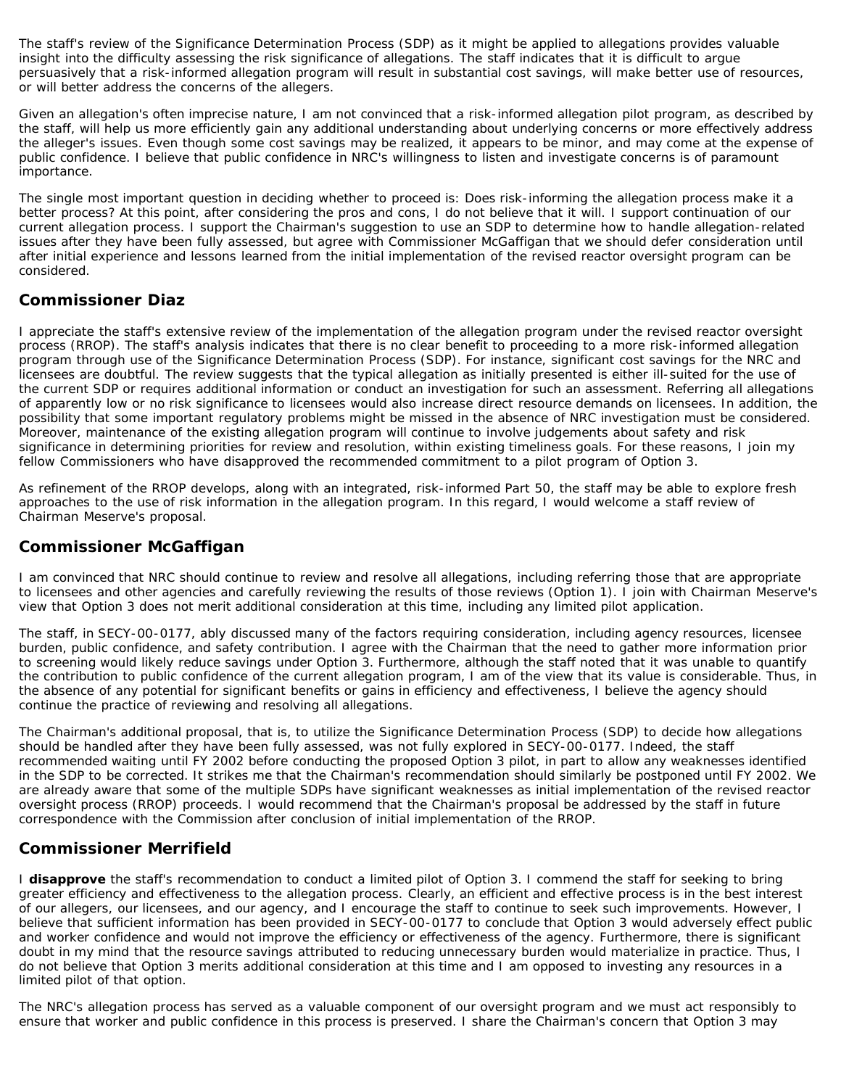The staff's review of the Significance Determination Process (SDP) as it might be applied to allegations provides valuable insight into the difficulty assessing the risk significance of allegations. The staff indicates that it is difficult to argue persuasively that a risk-informed allegation program will result in substantial cost savings, will make better use of resources, or will better address the concerns of the allegers.

Given an allegation's often imprecise nature, I am not convinced that a risk-informed allegation pilot program, as described by the staff, will help us more efficiently gain any additional understanding about underlying concerns or more effectively address the alleger's issues. Even though some cost savings may be realized, it appears to be minor, and may come at the expense of public confidence. I believe that public confidence in NRC's willingness to listen and investigate concerns is of paramount importance.

The single most important question in deciding whether to proceed is: Does risk-informing the allegation process make it a better process? At this point, after considering the pros and cons, I do not believe that it will. I support continuation of our current allegation process. I support the Chairman's suggestion to use an SDP to determine how to handle allegation-related issues after they have been fully assessed, but agree with Commissioner McGaffigan that we should defer consideration until after initial experience and lessons learned from the initial implementation of the revised reactor oversight program can be considered.

## **Commissioner Diaz**

I appreciate the staff's extensive review of the implementation of the allegation program under the revised reactor oversight process (RROP). The staff's analysis indicates that there is no clear benefit to proceeding to a more risk-informed allegation program through use of the Significance Determination Process (SDP). For instance, significant cost savings for the NRC and licensees are doubtful. The review suggests that the typical allegation as initially presented is either ill-suited for the use of the current SDP or requires additional information or conduct an investigation for such an assessment. Referring all allegations of apparently low or no risk significance to licensees would also increase direct resource demands on licensees. In addition, the possibility that some important regulatory problems might be missed in the absence of NRC investigation must be considered. Moreover, maintenance of the existing allegation program will continue to involve judgements about safety and risk significance in determining priorities for review and resolution, within existing timeliness goals. For these reasons, I join my fellow Commissioners who have disapproved the recommended commitment to a pilot program of Option 3.

As refinement of the RROP develops, along with an integrated, risk-informed Part 50, the staff may be able to explore fresh approaches to the use of risk information in the allegation program. In this regard, I would welcome a staff review of Chairman Meserve's proposal.

## **Commissioner McGaffigan**

I am convinced that NRC should continue to review and resolve all allegations, including referring those that are appropriate to licensees and other agencies and carefully reviewing the results of those reviews (Option 1). I join with Chairman Meserve's view that Option 3 does not merit additional consideration at this time, including any limited pilot application.

The staff, in SECY-00-0177, ably discussed many of the factors requiring consideration, including agency resources, licensee burden, public confidence, and safety contribution. I agree with the Chairman that the need to gather more information prior to screening would likely reduce savings under Option 3. Furthermore, although the staff noted that it was unable to quantify the contribution to public confidence of the current allegation program, I am of the view that its value is considerable. Thus, in the absence of any potential for significant benefits or gains in efficiency and effectiveness, I believe the agency should continue the practice of reviewing and resolving all allegations.

The Chairman's additional proposal, that is, to utilize the Significance Determination Process (SDP) to decide how allegations should be handled after they have been fully assessed, was not fully explored in SECY-00-0177. Indeed, the staff recommended waiting until FY 2002 before conducting the proposed Option 3 pilot, in part to allow any weaknesses identified in the SDP to be corrected. It strikes me that the Chairman's recommendation should similarly be postponed until FY 2002. We are already aware that some of the multiple SDPs have significant weaknesses as initial implementation of the revised reactor oversight process (RROP) proceeds. I would recommend that the Chairman's proposal be addressed by the staff in future correspondence with the Commission after conclusion of initial implementation of the RROP.

# **Commissioner Merrifield**

I **disapprove** the staff's recommendation to conduct a limited pilot of Option 3. I commend the staff for seeking to bring greater efficiency and effectiveness to the allegation process. Clearly, an efficient and effective process is in the best interest of our allegers, our licensees, and our agency, and I encourage the staff to continue to seek such improvements. However, I believe that sufficient information has been provided in SECY-00-0177 to conclude that Option 3 would adversely effect public and worker confidence and would not improve the efficiency or effectiveness of the agency. Furthermore, there is significant doubt in my mind that the resource savings attributed to reducing unnecessary burden would materialize in practice. Thus, I do not believe that Option 3 merits additional consideration at this time and I am opposed to investing any resources in a limited pilot of that option.

The NRC's allegation process has served as a valuable component of our oversight program and we must act responsibly to ensure that worker and public confidence in this process is preserved. I share the Chairman's concern that Option 3 may